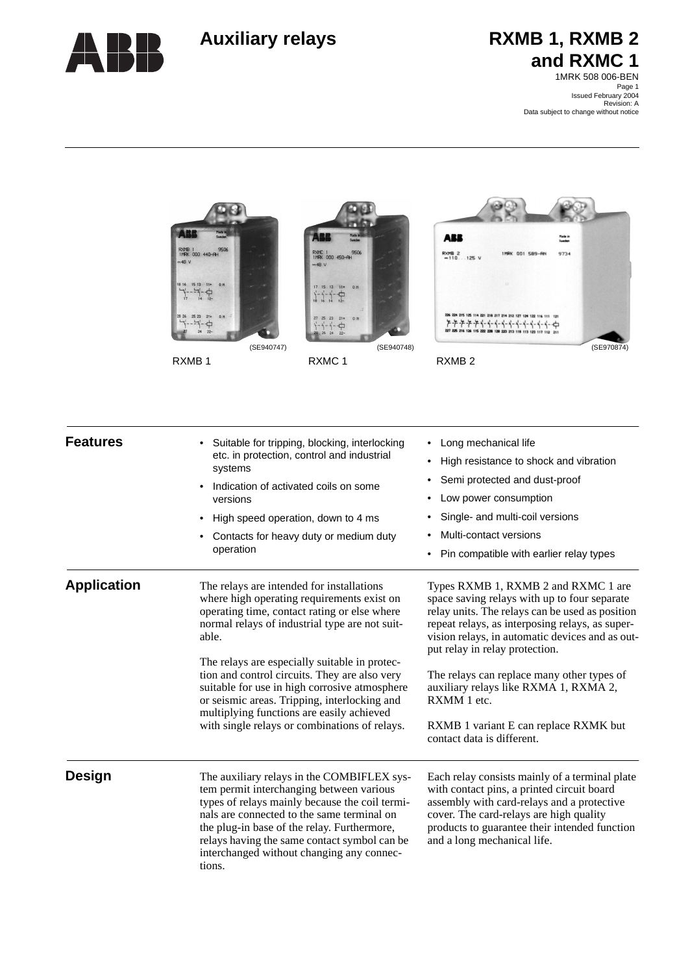

# Auxiliary relays **RXMB 1, RXMB 2 and RXMC 1**

Page 1 Issued February 2004 Revision: A Data subject to change without notice1MRK 508 006-BEN



| <b>Features</b>    | Suitable for tripping, blocking, interlocking<br>etc. in protection, control and industrial<br>systems<br>Indication of activated coils on some<br>versions<br>High speed operation, down to 4 ms<br>Contacts for heavy duty or medium duty<br>operation                                                                                                                                                                                                                                            | • Long mechanical life<br>High resistance to shock and vibration<br>$\bullet$<br>Semi protected and dust-proof<br>Low power consumption<br>Single- and multi-coil versions<br>Multi-contact versions<br>Pin compatible with earlier relay types                                                                                                                                                                                                             |
|--------------------|-----------------------------------------------------------------------------------------------------------------------------------------------------------------------------------------------------------------------------------------------------------------------------------------------------------------------------------------------------------------------------------------------------------------------------------------------------------------------------------------------------|-------------------------------------------------------------------------------------------------------------------------------------------------------------------------------------------------------------------------------------------------------------------------------------------------------------------------------------------------------------------------------------------------------------------------------------------------------------|
| <b>Application</b> | The relays are intended for installations<br>where high operating requirements exist on<br>operating time, contact rating or else where<br>normal relays of industrial type are not suit-<br>able.<br>The relays are especially suitable in protec-<br>tion and control circuits. They are also very<br>suitable for use in high corrosive atmosphere<br>or seismic areas. Tripping, interlocking and<br>multiplying functions are easily achieved<br>with single relays or combinations of relays. | Types RXMB 1, RXMB 2 and RXMC 1 are<br>space saving relays with up to four separate<br>relay units. The relays can be used as position<br>repeat relays, as interposing relays, as super-<br>vision relays, in automatic devices and as out-<br>put relay in relay protection.<br>The relays can replace many other types of<br>auxiliary relays like RXMA 1, RXMA 2,<br>RXMM 1 etc.<br>RXMB 1 variant E can replace RXMK but<br>contact data is different. |
| <b>Design</b>      | The auxiliary relays in the COMBIFLEX sys-<br>tem permit interchanging between various<br>types of relays mainly because the coil termi-<br>nals are connected to the same terminal on<br>the plug-in base of the relay. Furthermore,<br>relays having the same contact symbol can be<br>interchanged without changing any connec-<br>tions.                                                                                                                                                        | Each relay consists mainly of a terminal plate<br>with contact pins, a printed circuit board<br>assembly with card-relays and a protective<br>cover. The card-relays are high quality<br>products to guarantee their intended function<br>and a long mechanical life.                                                                                                                                                                                       |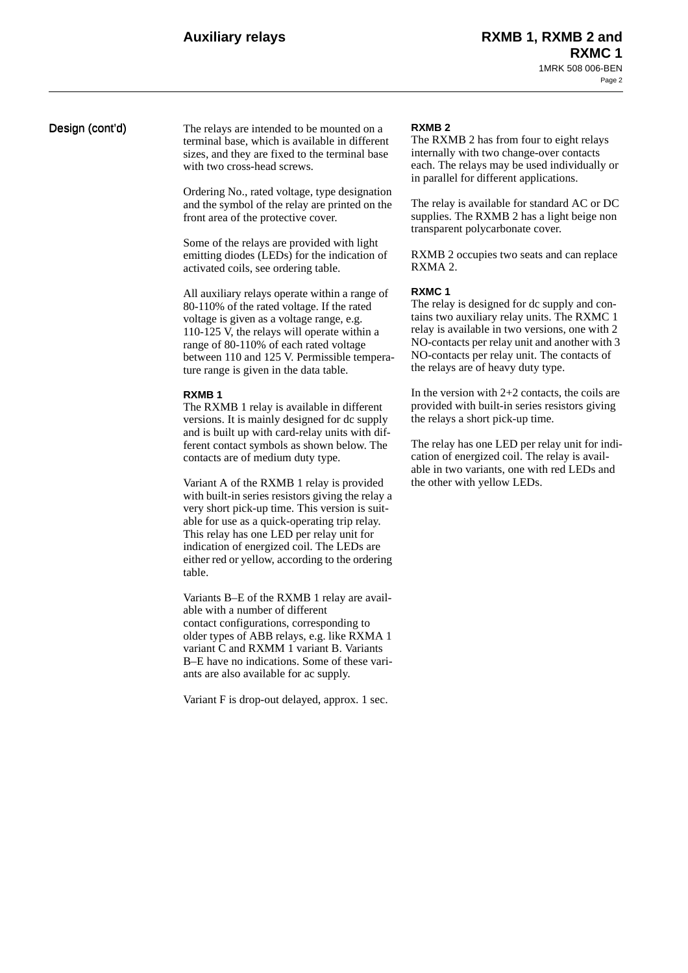**Design (cont'd)** The relays are intended to be mounted on a terminal base, which is available in different sizes, and they are fixed to the terminal base with two cross-head screws.

> Ordering No., rated voltage, type designation and the symbol of the relay are printed on the front area of the protective cover.

Some of the relays are provided with light emitting diodes (LEDs) for the indication of activated coils, see ordering table.

All auxiliary relays operate within a range of 80-110% of the rated voltage. If the rated voltage is given as a voltage range, e.g. 110-125 V, the relays will operate within a range of 80-110% of each rated voltage between 110 and 125 V. Permissible temperature range is given in the data table.

### **RXMB 1**

The RXMB 1 relay is available in different versions. It is mainly designed for dc supply and is built up with card-relay units with different contact symbols as shown below. The contacts are of medium duty type.

Variant A of the RXMB 1 relay is provided with built-in series resistors giving the relay a very short pick-up time. This version is suitable for use as a quick-operating trip relay. This relay has one LED per relay unit for indication of energized coil. The LEDs are either red or yellow, according to the ordering table.

Variants B–E of the RXMB 1 relay are available with a number of different contact configurations, corresponding to older types of ABB relays, e.g. like RXMA 1 variant C and RXMM 1 variant B. Variants B–E have no indications. Some of these variants are also available for ac supply.

Variant F is drop-out delayed, approx. 1 sec.

### **RXMB 2**

The RXMB 2 has from four to eight relays internally with two change-over contacts each. The relays may be used individually or in parallel for different applications.

The relay is available for standard AC or DC supplies. The RXMB 2 has a light beige non transparent polycarbonate cover.

RXMB 2 occupies two seats and can replace RXMA 2.

### **RXMC 1**

The relay is designed for dc supply and contains two auxiliary relay units. The RXMC 1 relay is available in two versions, one with 2 NO-contacts per relay unit and another with 3 NO-contacts per relay unit. The contacts of the relays are of heavy duty type.

In the version with  $2+2$  contacts, the coils are provided with built-in series resistors giving the relays a short pick-up time.

The relay has one LED per relay unit for indication of energized coil. The relay is available in two variants, one with red LEDs and the other with yellow LEDs.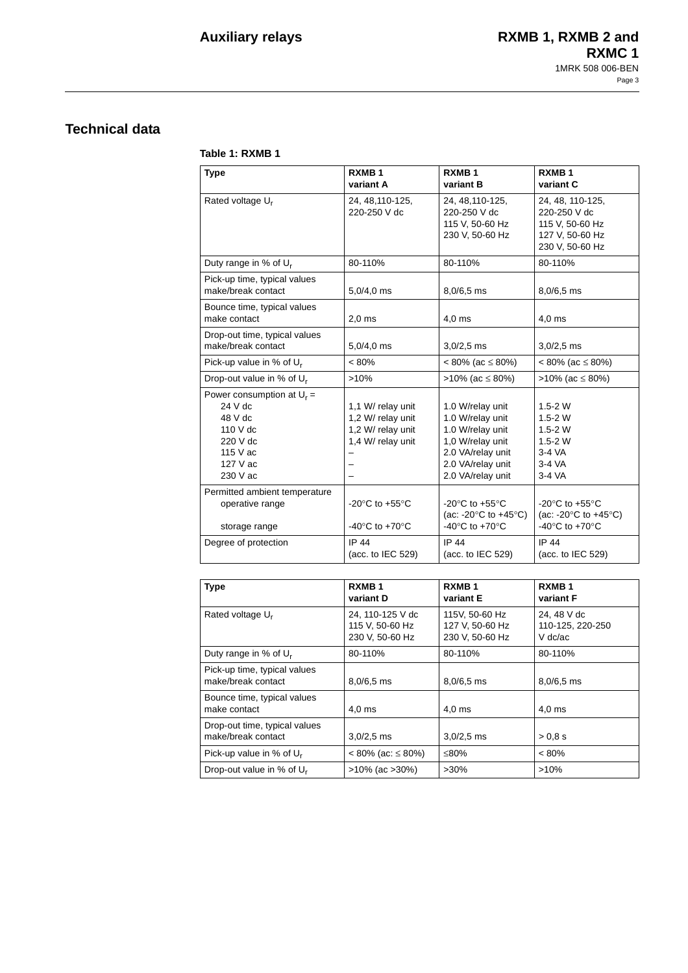# **Technical data**

### **Table 1: RXMB 1**

| <b>Type</b>                                                                                                     | RXMB <sub>1</sub><br>variant A                                                                                               | <b>RXMB1</b><br>variant B                                                                                                                                                | RXMB <sub>1</sub><br>variant C                                                                                                                                           |
|-----------------------------------------------------------------------------------------------------------------|------------------------------------------------------------------------------------------------------------------------------|--------------------------------------------------------------------------------------------------------------------------------------------------------------------------|--------------------------------------------------------------------------------------------------------------------------------------------------------------------------|
| Rated voltage U <sub>r</sub>                                                                                    | 24, 48, 110-125,<br>220-250 V dc                                                                                             | 24, 48, 110-125,<br>220-250 V dc<br>115 V, 50-60 Hz<br>230 V, 50-60 Hz                                                                                                   | 24, 48, 110-125,<br>220-250 V dc<br>115 V, 50-60 Hz<br>127 V, 50-60 Hz<br>230 V, 50-60 Hz                                                                                |
| Duty range in % of U <sub>r</sub>                                                                               | 80-110%                                                                                                                      | 80-110%                                                                                                                                                                  | 80-110%                                                                                                                                                                  |
| Pick-up time, typical values<br>make/break contact                                                              | $5,0/4,0$ ms                                                                                                                 | $8,0/6,5$ ms                                                                                                                                                             | $8,0/6,5$ ms                                                                                                                                                             |
| Bounce time, typical values<br>make contact                                                                     | 2.0 <sub>ms</sub>                                                                                                            | $4.0$ ms                                                                                                                                                                 | $4,0$ ms                                                                                                                                                                 |
| Drop-out time, typical values<br>make/break contact                                                             | $5,0/4,0$ ms                                                                                                                 | $3,0/2,5$ ms                                                                                                                                                             | $3,0/2,5$ ms                                                                                                                                                             |
| Pick-up value in % of $U_r$                                                                                     | $< 80\%$                                                                                                                     | $< 80\%$ (ac $\leq 80\%$ )                                                                                                                                               | $< 80\%$ (ac $\leq 80\%$ )                                                                                                                                               |
| Drop-out value in % of $U_r$                                                                                    | >10%                                                                                                                         | $>10\%$ (ac $\leq 80\%$ )                                                                                                                                                | $>10\%$ (ac $\leq 80\%$ )                                                                                                                                                |
| Power consumption at $U_r =$<br>$24V$ dc<br>48 V dc<br>110 V dc<br>220 V dc<br>115 V ac<br>127 V ac<br>230 V ac | 1.1 W/ relay unit<br>1,2 W/ relay unit<br>1,2 W/ relay unit<br>1,4 W/ relay unit                                             | 1.0 W/relay unit<br>1.0 W/relay unit<br>1.0 W/relay unit<br>1,0 W/relay unit<br>2.0 VA/relay unit<br>2.0 VA/relay unit<br>2.0 VA/relay unit                              | $1.5 - 2 W$<br>$1.5 - 2 W$<br>$1.5 - 2 W$<br>$1.5 - 2 W$<br>$3-4VA$<br>3-4 VA<br>3-4 VA                                                                                  |
| Permitted ambient temperature<br>operative range<br>storage range<br>Degree of protection                       | -20 $\mathrm{^{\circ}C}$ to +55 $\mathrm{^{\circ}C}$<br>-40 $\mathrm{^{\circ}C}$ to +70 $\mathrm{^{\circ}C}$<br><b>IP 44</b> | -20 $\mathrm{^{\circ}C}$ to +55 $\mathrm{^{\circ}C}$<br>(ac: -20 $\degree$ C to +45 $\degree$ C)<br>-40 $\mathrm{^{\circ}C}$ to +70 $\mathrm{^{\circ}C}$<br><b>IP 44</b> | -20 $\mathrm{^{\circ}C}$ to +55 $\mathrm{^{\circ}C}$<br>(ac: -20 $\degree$ C to +45 $\degree$ C)<br>-40 $\mathrm{^{\circ}C}$ to +70 $\mathrm{^{\circ}C}$<br><b>IP 44</b> |
|                                                                                                                 | (acc. to IEC 529)                                                                                                            | (acc. to IEC 529)                                                                                                                                                        | (acc. to IEC 529)                                                                                                                                                        |

| <b>Type</b>                                         | RXMB <sub>1</sub><br>variant D                         | RXMB <sub>1</sub><br>variant E                       | RXMB <sub>1</sub><br>variant F               |
|-----------------------------------------------------|--------------------------------------------------------|------------------------------------------------------|----------------------------------------------|
| Rated voltage U <sub>r</sub>                        | 24, 110-125 V dc<br>115 V, 50-60 Hz<br>230 V, 50-60 Hz | 115V, 50-60 Hz<br>127 V, 50-60 Hz<br>230 V, 50-60 Hz | 24, 48 V dc<br>110-125, 220-250<br>$V$ dc/ac |
| Duty range in % of U <sub>r</sub>                   | 80-110%                                                | 80-110%                                              | 80-110%                                      |
| Pick-up time, typical values<br>make/break contact  | $8,0/6,5$ ms                                           | $8,0/6,5$ ms                                         | $8,0/6,5$ ms                                 |
| Bounce time, typical values<br>make contact         | $4.0$ ms                                               | 4.0 <sub>ms</sub>                                    | $4.0$ ms                                     |
| Drop-out time, typical values<br>make/break contact | $3,0/2,5$ ms                                           | $3,0/2,5$ ms                                         | > 0.8 s                                      |
| Pick-up value in % of U <sub>r</sub>                | $< 80\%$ (ac: $\leq 80\%$ )                            | ≤80%                                                 | $< 80\%$                                     |
| Drop-out value in % of U <sub>r</sub>               | $>10\%$ (ac $>30\%$ )                                  | $>30\%$                                              | $>10\%$                                      |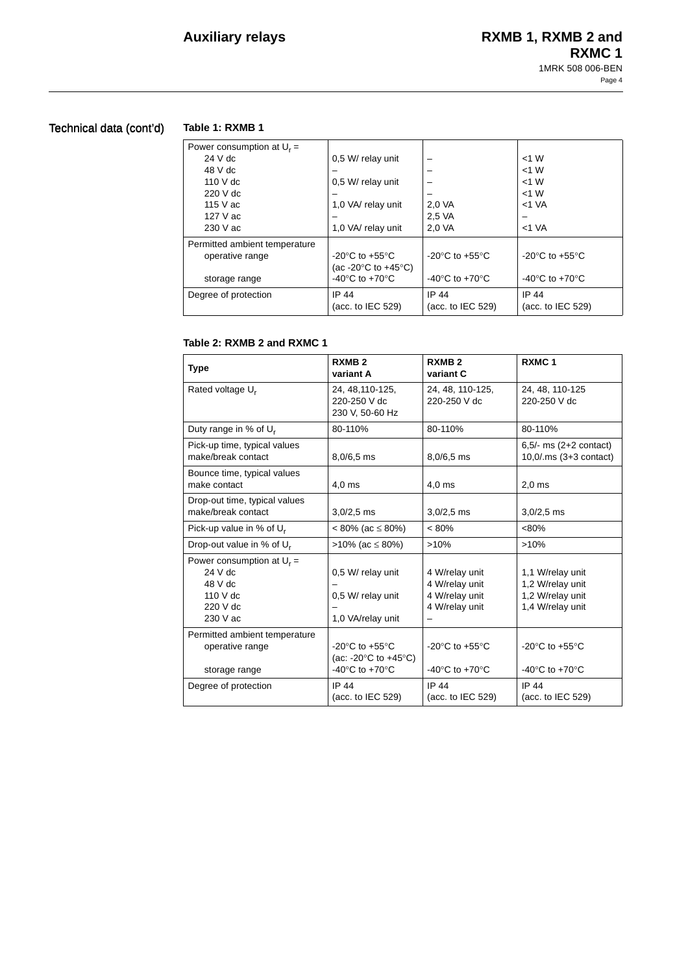# Technical data (cont'd)

# **Table 1: RXMB 1**

| Power consumption at $U_r =$  |                                                      |                                    |                                                      |
|-------------------------------|------------------------------------------------------|------------------------------------|------------------------------------------------------|
| $24V$ dc                      | 0.5 W/ relay unit                                    |                                    | $<$ 1 W                                              |
| 48 V dc                       |                                                      |                                    | $<$ 1 W                                              |
| 110 V dc                      | 0,5 W/ relay unit                                    |                                    | $<$ 1 W                                              |
| $220$ V dc                    |                                                      |                                    | $<$ 1 W                                              |
| 115 $V$ ac                    | 1,0 VA/ relay unit                                   | 2,0 VA                             | $<$ 1 VA                                             |
| 127 V ac                      |                                                      | 2.5 VA                             |                                                      |
| 230 V ac                      | 1,0 VA/ relay unit                                   | 2.0 VA                             | $<$ 1 VA                                             |
| Permitted ambient temperature |                                                      |                                    |                                                      |
| operative range               | -20 $\mathrm{^{\circ}C}$ to +55 $\mathrm{^{\circ}C}$ | $-20^{\circ}$ C to $+55^{\circ}$ C | -20 $\mathrm{^{\circ}C}$ to +55 $\mathrm{^{\circ}C}$ |
|                               | (ac -20 $\degree$ C to +45 $\degree$ C)              |                                    |                                                      |
| storage range                 | $-40^{\circ}$ C to $+70^{\circ}$ C                   | $-40^{\circ}$ C to $+70^{\circ}$ C | -40 $\degree$ C to +70 $\degree$ C                   |
| Degree of protection          | IP 44                                                | IP 44                              | IP 44                                                |
|                               | (acc. to IEC 529)                                    | (acc. to IEC 529)                  | (acc. to IEC 529)                                    |
|                               |                                                      |                                    |                                                      |

## **Table 2: RXMB 2 and RXMC 1**

| <b>Type</b>                                                                             | <b>RXMB2</b><br>variant A                                                                                                                                | RXMB <sub>2</sub><br>variant C                                                                               | RXMC <sub>1</sub>                                                                                            |
|-----------------------------------------------------------------------------------------|----------------------------------------------------------------------------------------------------------------------------------------------------------|--------------------------------------------------------------------------------------------------------------|--------------------------------------------------------------------------------------------------------------|
| Rated voltage U <sub>r</sub>                                                            | 24, 48, 110-125,<br>220-250 V dc<br>230 V, 50-60 Hz                                                                                                      | 24, 48, 110-125,<br>220-250 V dc                                                                             | 24, 48, 110-125<br>220-250 V dc                                                                              |
| Duty range in % of U <sub>r</sub>                                                       | 80-110%                                                                                                                                                  | 80-110%                                                                                                      | 80-110%                                                                                                      |
| Pick-up time, typical values<br>make/break contact                                      | $8,0/6,5$ ms                                                                                                                                             | $8,0/6,5$ ms                                                                                                 | $6,5/-$ ms $(2+2 \text{ contact})$<br>$10,0$ /.ms $(3+3$ contact)                                            |
| Bounce time, typical values<br>make contact                                             | $4,0$ ms                                                                                                                                                 | $4.0$ ms                                                                                                     | $2,0$ ms                                                                                                     |
| Drop-out time, typical values<br>make/break contact                                     | $3,0/2,5$ ms                                                                                                                                             | $3,0/2,5$ ms                                                                                                 | $3,0/2,5$ ms                                                                                                 |
| Pick-up value in % of $U_r$                                                             | $< 80\%$ (ac $\leq 80\%)$                                                                                                                                | $< 80\%$                                                                                                     | $< 80\%$                                                                                                     |
| Drop-out value in % of U <sub>r</sub>                                                   | $>10\%$ (ac $\leq 80\%$ )                                                                                                                                | >10%                                                                                                         | >10%                                                                                                         |
| Power consumption at $U_r =$<br>$24V$ dc<br>48 V dc<br>110 V dc<br>220 V dc<br>230 V ac | 0,5 W/ relay unit<br>0.5 W/ relay unit<br>1,0 VA/relay unit                                                                                              | 4 W/relay unit<br>4 W/relay unit<br>4 W/relay unit<br>4 W/relay unit                                         | 1,1 W/relay unit<br>1,2 W/relay unit<br>1,2 W/relay unit<br>1,4 W/relay unit                                 |
| Permitted ambient temperature<br>operative range<br>storage range                       | -20 $\mathrm{^{\circ}C}$ to +55 $\mathrm{^{\circ}C}$<br>(ac: -20 $\degree$ C to +45 $\degree$ C)<br>-40 $\mathrm{^{\circ}C}$ to +70 $\mathrm{^{\circ}C}$ | -20 $\mathrm{^{\circ}C}$ to +55 $\mathrm{^{\circ}C}$<br>-40 $\mathrm{^{\circ}C}$ to +70 $\mathrm{^{\circ}C}$ | -20 $\mathrm{^{\circ}C}$ to +55 $\mathrm{^{\circ}C}$<br>-40 $\mathrm{^{\circ}C}$ to +70 $\mathrm{^{\circ}C}$ |
| Degree of protection                                                                    | IP 44<br>(acc. to IEC 529)                                                                                                                               | <b>IP 44</b><br>(acc. to IEC 529)                                                                            | IP 44<br>(acc. to IEC 529)                                                                                   |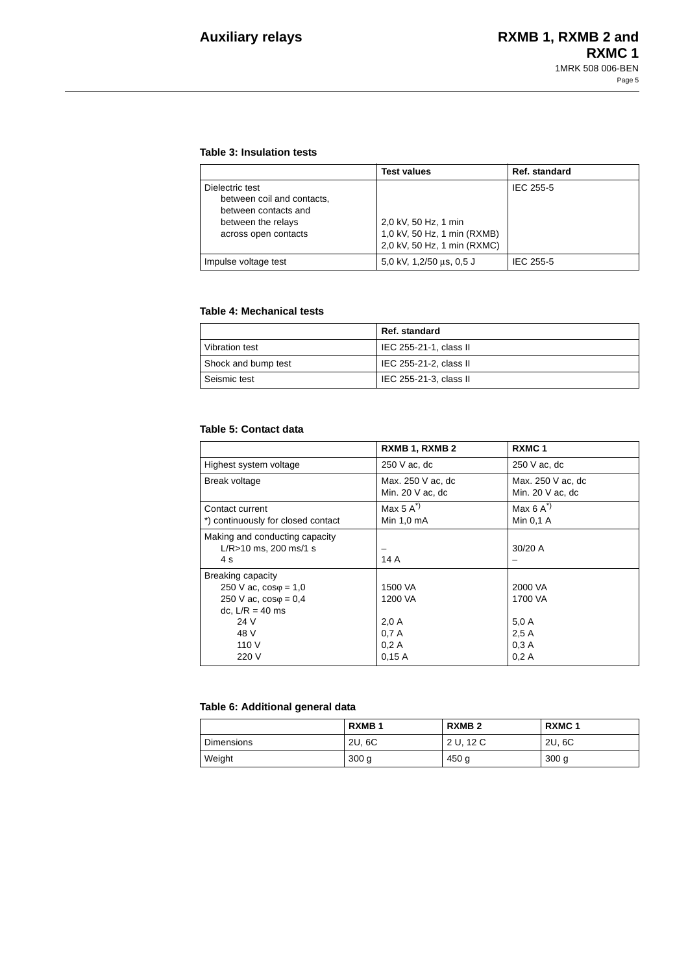## **Table 3: Insulation tests**

|                                                                                                                     | <b>Test values</b>                                                                 | Ref. standard |
|---------------------------------------------------------------------------------------------------------------------|------------------------------------------------------------------------------------|---------------|
| Dielectric test<br>between coil and contacts,<br>between contacts and<br>between the relays<br>across open contacts | 2.0 kV, 50 Hz, 1 min<br>1,0 kV, 50 Hz, 1 min (RXMB)<br>2,0 kV, 50 Hz, 1 min (RXMC) | IEC 255-5     |
| Impulse voltage test                                                                                                | 5,0 kV, 1,2/50 us, 0,5 J                                                           | IEC 255-5     |

## **Table 4: Mechanical tests**

|                     | Ref. standard          |
|---------------------|------------------------|
| Vibration test      | IEC 255-21-1, class II |
| Shock and bump test | IEC 255-21-2, class II |
| Seismic test        | IEC 255-21-3, class II |

### **Table 5: Contact data**

|                                    | RXMB 1, RXMB 2      | RXMC <sub>1</sub>   |
|------------------------------------|---------------------|---------------------|
| Highest system voltage             | 250 V ac, dc        | 250 V ac, dc        |
| Break voltage                      | Max. 250 V ac. dc   | Max. 250 V ac. dc   |
|                                    | Min. 20 $V$ ac, dc  | Min. $20$ V ac, dc  |
| Contact current                    | Max $5 \text{ A}^*$ | Max $6 \text{ A}^2$ |
| *) continuously for closed contact | Min 1,0 mA          | Min 0.1 A           |
| Making and conducting capacity     |                     |                     |
| $L/R > 10$ ms, 200 ms/1 s          |                     | $30/20$ A           |
| 4 s                                | 14 A                |                     |
| Breaking capacity                  |                     |                     |
| 250 V ac, $cos\varphi = 1.0$       | 1500 VA             | 2000 VA             |
| 250 V ac, $cos\phi = 0.4$          | 1200 VA             | 1700 VA             |
| dc, $L/R = 40$ ms                  |                     |                     |
| 24 V                               | 2.0A                | 5.0A                |
| 48 V                               | 0.7A                | 2.5A                |
| 110 V                              | 0.2A                | 0.3A                |
| 220 V                              | 0,15A               | 0.2A                |

# **Table 6: Additional general data**

|                   | RXMB <sub>1</sub> | RXMB <sub>2</sub> | RXMC <sub>1</sub> |
|-------------------|-------------------|-------------------|-------------------|
| <b>Dimensions</b> | 2U, 6C            | 2 U, 12 C         | 2U, 6C            |
| Weight            | 300 <sub>g</sub>  | 450 g             | 300 <sub>g</sub>  |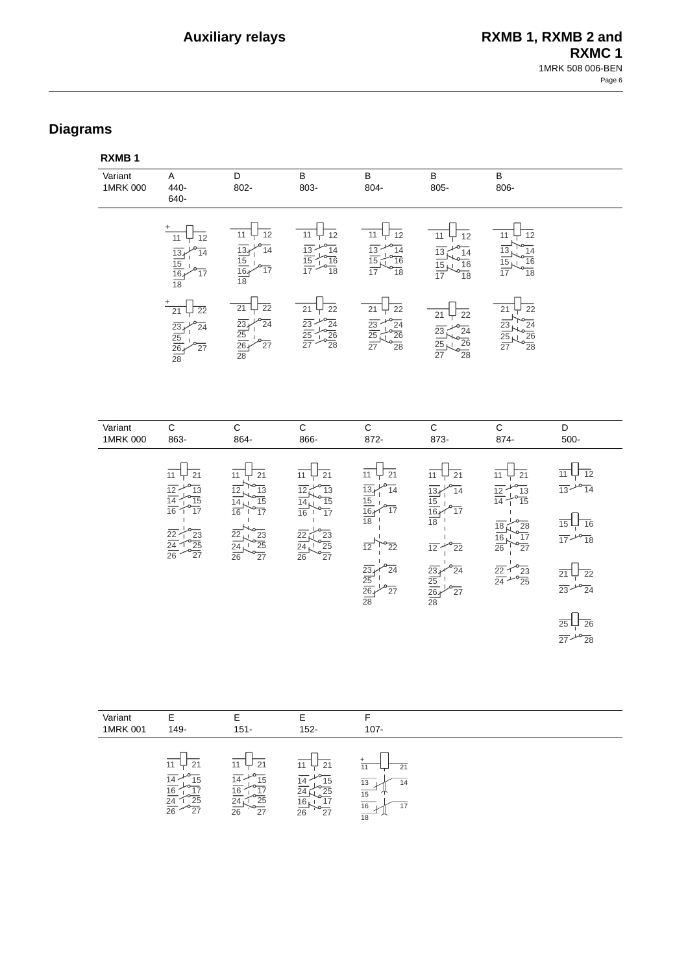# **Diagrams**

| RXMB <sub>1</sub>   |                                                                                                                                                                                                              |                                                                                                                                                                                                      |                                                                                                                                              |                                                                                                                                                                                                                         |                                                                                                                                                                                      |                                                                                                                                                                                                                                                  |                                                                                                                                                                                                                                         |
|---------------------|--------------------------------------------------------------------------------------------------------------------------------------------------------------------------------------------------------------|------------------------------------------------------------------------------------------------------------------------------------------------------------------------------------------------------|----------------------------------------------------------------------------------------------------------------------------------------------|-------------------------------------------------------------------------------------------------------------------------------------------------------------------------------------------------------------------------|--------------------------------------------------------------------------------------------------------------------------------------------------------------------------------------|--------------------------------------------------------------------------------------------------------------------------------------------------------------------------------------------------------------------------------------------------|-----------------------------------------------------------------------------------------------------------------------------------------------------------------------------------------------------------------------------------------|
| Variant<br>1MRK 000 | A<br>440-<br>640-                                                                                                                                                                                            | D<br>802-                                                                                                                                                                                            | B<br>803-                                                                                                                                    | $\, {\bf B} \,$<br>804-                                                                                                                                                                                                 | $\sf B$<br>805-                                                                                                                                                                      | B<br>806-                                                                                                                                                                                                                                        |                                                                                                                                                                                                                                         |
|                     | 12<br>11<br>13<br>$\frac{15}{16}$<br>$\overline{18}$                                                                                                                                                         | $\overline{12}$<br>11<br>$\overline{13}$<br>$\overline{14}$<br>$\frac{15}{16}$<br>$\frac{16}{18}$                                                                                                    | $\overline{12}$<br>11<br>$\frac{13}{15}$<br>$\frac{10}{10}$<br>$\frac{14}{10}$<br>$\frac{16}{18}$                                            | $\overline{12}$<br>11<br>$\frac{13}{2}$<br>$\frac{1}{2}$<br>$\frac{14}{16}$<br>$\frac{14}{18}$<br>$\overline{15}$<br>$\overline{17}$                                                                                    | $\overline{12}$<br>11<br>$\overline{14}$<br>$\overline{13}$<br>$\frac{16}{18}$<br>15                                                                                                 | $\overline{12}$<br>11<br>13<br>14<br>$\frac{16}{18}$<br>15<br>$\overline{17}$                                                                                                                                                                    |                                                                                                                                                                                                                                         |
|                     | $\overline{22}$<br>21<br>$\overline{24}$<br>$\overline{23}$<br>$\overline{25}$<br>$\overline{26}$<br>27<br>$\overline{28}$                                                                                   | $\overline{22}$<br>$\overline{21}$<br>$\frac{23}{25}$ $\frac{25}{26}$<br>$\overline{24}$<br>$\overline{27}$<br>$\overline{28}$                                                                       | $\overline{22}$<br>$\overline{21}$<br>$\frac{23}{25}$ $\frac{25}{27}$<br>$\frac{1}{24}$<br>$\frac{24}{26}$<br>$\frac{26}{28}$                | $\overline{22}$<br>$\overline{21}$<br>$\frac{23}{25}$<br>$\overline{24}$<br>$\frac{1}{\sqrt{26}}$<br>$\overline{27}$                                                                                                    | $\overline{22}$<br>21<br>$\frac{24}{26}$<br>$\frac{26}{28}$<br>$\overline{23}$<br>25 <sub>N</sub>                                                                                    | $\overline{22}$<br>21<br>$\frac{23}{25}$ $\frac{25}{27}$<br>$\overline{24}$<br>$\frac{26}{28}$                                                                                                                                                   |                                                                                                                                                                                                                                         |
| Variant<br>1MRK 000 | $\mathsf C$<br>863-                                                                                                                                                                                          | $\mathsf C$<br>864-                                                                                                                                                                                  | $\mathsf C$<br>866-                                                                                                                          | ${\bf C}$<br>872-                                                                                                                                                                                                       | $\mathbf C$<br>873-                                                                                                                                                                  | $\mathbf C$<br>874-                                                                                                                                                                                                                              | D<br>500-                                                                                                                                                                                                                               |
|                     | $\overline{11}$<br>$\overline{21}$<br>12<br>$\overline{13}$<br>$\overline{15}$<br>14<br>$\overline{16}$<br>$\overline{17}$<br>$\overline{22}$<br>23<br>$\overline{25}$<br>$\frac{24}{26}$<br>$\overline{27}$ | 11<br>21<br>$\overline{12}$<br>$\overline{13}$<br>$\overline{15}$<br>$\frac{14}{16}$<br>$\overline{17}$<br>$\frac{2}{2}$<br>$\overline{23}$<br>$\frac{24}{26}$<br>$\overline{25}$<br>$\overline{27}$ | 21<br>11<br>$\overline{13}$<br>12<br>$\overline{15}$<br>$\overline{17}$<br>22<br>23<br>$\overline{25}$<br>$\frac{24}{26}$<br>$\overline{27}$ | $\overline{21}$<br>11<br>$\overline{14}$<br>$\overline{13_4}$<br>$\frac{15}{16}$<br>17<br>$\overline{18}$<br>$\overline{12}$<br>$\overline{22}$<br>$rac{23}{25}$<br>$rac{25}{28}$<br>$\overline{24}$<br>$\overline{27}$ | $\overline{21}$<br>11<br>$\overline{14}$<br>13.<br>15<br>16.<br>17<br>$\overline{18}$<br>$\overline{12}$<br>22<br>23.<br>$\overline{24}$<br>$\frac{25}{26}$<br>27<br>$\overline{28}$ | $\overline{21}$<br>11<br>$\frac{13}{15}$<br>$\overline{12}$<br>$\overline{14}$<br>$\overline{18}$<br>$\left(28\right)$<br>$\overline{17}$<br>16 <sub>k</sub><br>$\overline{26}$<br>$\overline{27}$<br>$\frac{22}{24}$<br>$-23$<br>$-23$<br>$-25$ | $\overline{12}$<br>$\frac{1}{13} + \frac{1}{14}$<br>$\overline{16}$<br>$\frac{1}{17}$ $\frac{10}{18}$<br>$\overline{22}$<br>21<br>$\frac{1}{23} + \frac{1}{24}$<br>$\overline{26}$<br>$\overline{25}$<br>$\frac{1}{27}$ $\frac{10}{28}$ |

| Variant<br>1MRK 001 | 149-                                                                    | $151 -$              | $152 -$                                                       | $107 -$                                             |  |
|---------------------|-------------------------------------------------------------------------|----------------------|---------------------------------------------------------------|-----------------------------------------------------|--|
|                     | 11<br>21<br><u> 16</u><br>24<br>25<br>$\overline{26}$<br>$\frac{1}{27}$ | 21<br>25<br>27<br>26 | 11<br>21<br>15<br>25<br>16<br>$\sim$<br>$\overline{26}$<br>27 | 21<br>13<br>14<br>15<br>16<br>17<br>$\overline{18}$ |  |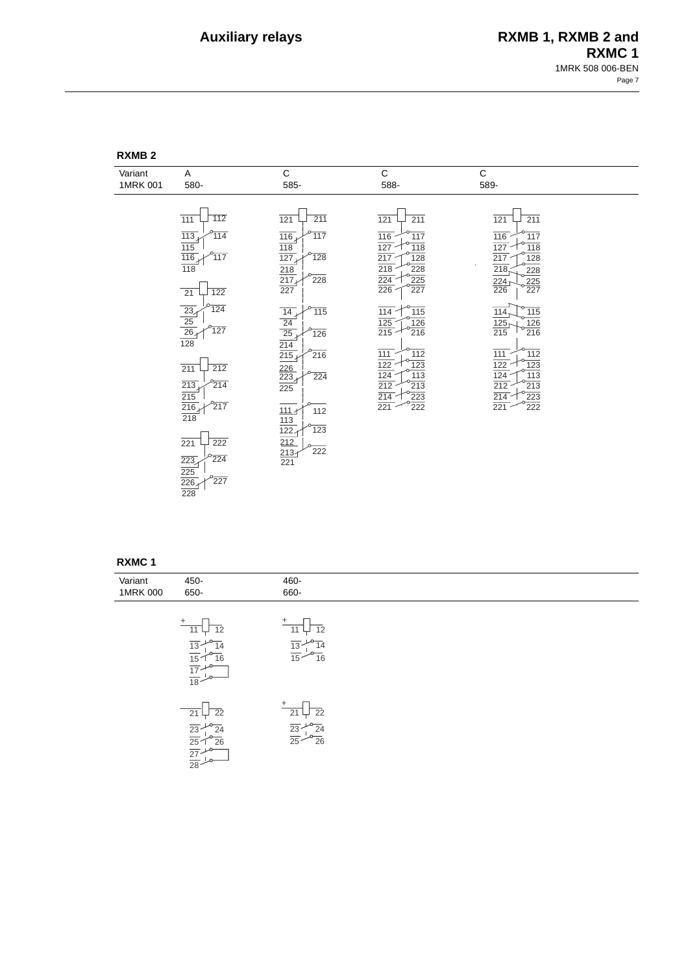| <b>?XMB</b> |  |
|-------------|--|
|-------------|--|

| Variant  | Α                                                                                                                                                              | $\mathbf C$                                                                          | $\mathsf C$                                                                                                                                                          | $\mathsf C$                                                                                                                                                                           |
|----------|----------------------------------------------------------------------------------------------------------------------------------------------------------------|--------------------------------------------------------------------------------------|----------------------------------------------------------------------------------------------------------------------------------------------------------------------|---------------------------------------------------------------------------------------------------------------------------------------------------------------------------------------|
| 1MRK 001 | 580-                                                                                                                                                           | 585-                                                                                 | 588-                                                                                                                                                                 | 589-                                                                                                                                                                                  |
|          |                                                                                                                                                                |                                                                                      |                                                                                                                                                                      |                                                                                                                                                                                       |
|          | 112<br>$\frac{111}{111}$<br>$\overline{113}$<br>114<br>$\frac{\overline{115}}{\overline{116}}$<br>117<br>$\overline{118}$                                      | 211<br>121<br>117<br>$\overline{116}$<br>118<br>$\overline{127}$<br>$\overline{128}$ | 211<br>121<br>116<br>$\frac{117}{117}$<br>$\frac{127}{217}$<br>118<br>128<br>$\overline{218}$<br>228                                                                 | 211<br>121<br>116<br>$\overline{117}$<br>118<br>127<br>$\overline{217}$<br>128<br>218                                                                                                 |
|          | 122<br>21                                                                                                                                                      | $\frac{218}{217}$<br>228<br>227                                                      | $\overline{224}$<br>225<br>226<br>227                                                                                                                                | 228<br>$\frac{225}{227}$<br>$\frac{224}{226}$                                                                                                                                         |
|          | 124<br>$\frac{\overline{\mathbf{23}}}{\mathbf{25}}$ $\frac{\overline{\mathbf{25}}}{\mathbf{26}}$ $\frac{\overline{\mathbf{26}}}{\mathbf{128}}$<br>$\sqrt{127}$ | 115<br>14<br>$\frac{24}{25}$<br>$\frac{25}{214}$<br>126                              | 114<br>115<br>126<br>$\frac{125}{215}$<br>$\overline{216}$                                                                                                           | 115<br>114<br>$\overline{126}$<br>$\frac{125}{215}$<br>$\overline{216}$                                                                                                               |
|          | $\overline{212}$<br>211<br>213<br>214<br>$\overline{215}$<br>$\overline{216}$<br>$^{o}$ 217<br>$\overline{218}$                                                | $\overline{216}$<br>$\frac{226}{223}$<br>$\frac{223}{225}$<br>224<br>$111 -$<br>112  | $\frac{111}{111}$<br>$\frac{1}{112}$<br>122<br>123<br>$\frac{1}{124}$<br>113<br>$\overline{212}$<br>$\overline{213}$<br>$\frac{214}{221}$<br>223<br>$\overline{222}$ | $\frac{1}{111}$<br>$\frac{1}{112}$<br>123<br>122<br>$\overline{124}$<br>113<br>$\overline{212}$<br>$\overline{213}$<br>223<br>$\frac{214}{ }$<br>$\overline{221}$<br>$\overline{222}$ |
|          | $\overline{222}$<br>221<br>224<br>$\overline{223}$<br>$\frac{225}{226}$<br>$\sqrt{227}$<br>$\overline{228}$                                                    | $\frac{113}{122}$<br>123<br>$\frac{212}{213}$<br>$\frac{213}{221}$<br>222            |                                                                                                                                                                      |                                                                                                                                                                                       |

### **RXMC 1**

28

| Variant<br>1MRK 000 | 450-<br>650-                                                                                                                                                                             | 460-<br>660-                                                                   |  |  |
|---------------------|------------------------------------------------------------------------------------------------------------------------------------------------------------------------------------------|--------------------------------------------------------------------------------|--|--|
|                     |                                                                                                                                                                                          |                                                                                |  |  |
|                     | $+$ 11 12<br>11 12<br>13 10 14<br>15 16<br>17 16<br>18 10                                                                                                                                | $+\n\frac{1}{11}\n\frac{1}{12}\n\frac{1}{13}\n\frac{1}{16}\n\frac{1}{16}$      |  |  |
|                     | $\begin{array}{r} \hline 21 \overline{)22} \\ \underline{23} \overline{)40} \underline{24} \\ \underline{25} \overline{)40} \underline{26} \\ \underline{27} \overline{)40} \end{array}$ | $rac{+}{21}$<br>$rac{22}{23} + \frac{22}{24}$<br>$rac{23}{25} - \frac{24}{26}$ |  |  |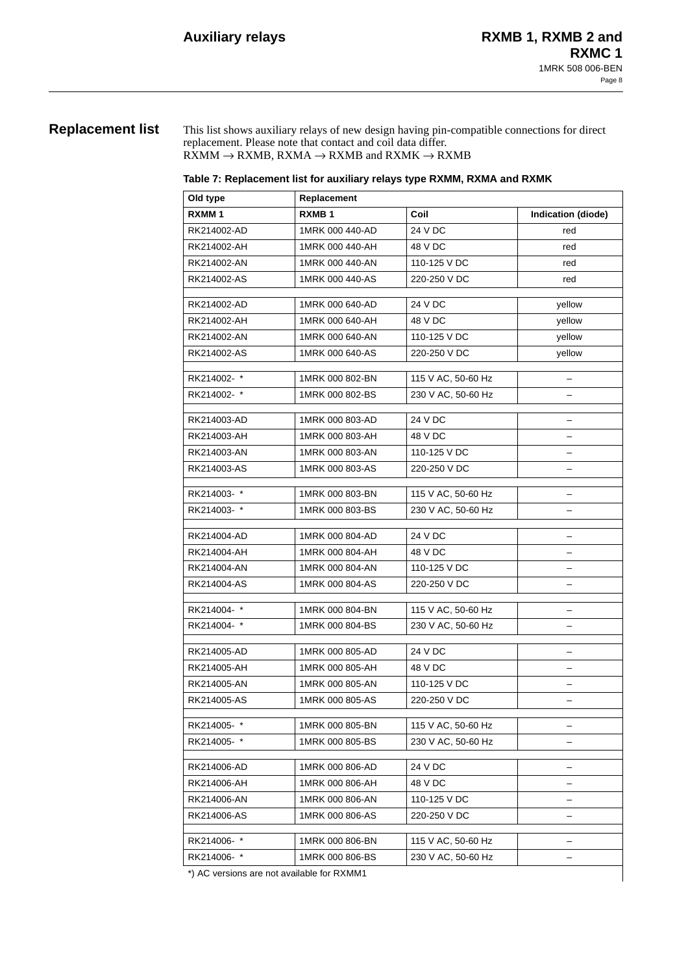# **Replacement list** This list shows auxiliary relays of new design having pin-compatible connections for direct replacement. Please note that contact and coil data differ.

 $\text{RXMM} \rightarrow \text{RXMB}$  ,  $\text{RXMA} \rightarrow \text{RXMB}$  and  $\text{RXMK} \rightarrow \text{RXMB}$ 

|  | Table 7: Replacement list for auxiliary relays type RXMM, RXMA and RXMK |
|--|-------------------------------------------------------------------------|
|--|-------------------------------------------------------------------------|

| Old type          | Replacement     |                    |                           |  |  |  |
|-------------------|-----------------|--------------------|---------------------------|--|--|--|
| RXMM <sub>1</sub> | <b>RXMB1</b>    | Coil               | <b>Indication (diode)</b> |  |  |  |
| RK214002-AD       | 1MRK 000 440-AD | 24 V DC            | red                       |  |  |  |
| RK214002-AH       | 1MRK 000 440-AH | 48 V DC            | red                       |  |  |  |
| RK214002-AN       | 1MRK 000 440-AN | 110-125 V DC       | red                       |  |  |  |
| RK214002-AS       | 1MRK 000 440-AS | 220-250 V DC       | red                       |  |  |  |
| RK214002-AD       | 1MRK 000 640-AD | 24 V DC            | yellow                    |  |  |  |
| RK214002-AH       | 1MRK 000 640-AH | 48 V DC            | vellow                    |  |  |  |
| RK214002-AN       | 1MRK 000 640-AN | 110-125 V DC       |                           |  |  |  |
| RK214002-AS       | 1MRK 000 640-AS | 220-250 V DC       | yellow<br>yellow          |  |  |  |
|                   |                 |                    |                           |  |  |  |
| RK214002-*        | 1MRK 000 802-BN | 115 V AC, 50-60 Hz |                           |  |  |  |
| RK214002-*        | 1MRK 000 802-BS | 230 V AC, 50-60 Hz | -                         |  |  |  |
| RK214003-AD       | 1MRK 000 803-AD | 24 V DC            | -                         |  |  |  |
| RK214003-AH       | 1MRK 000 803-AH | 48 V DC            | $\overline{\phantom{0}}$  |  |  |  |
| RK214003-AN       | 1MRK 000 803-AN | 110-125 V DC       |                           |  |  |  |
| RK214003-AS       | 1MRK 000 803-AS | 220-250 V DC       | -                         |  |  |  |
|                   |                 |                    |                           |  |  |  |
| RK214003-*        | 1MRK 000 803-BN | 115 V AC, 50-60 Hz |                           |  |  |  |
| RK214003-*        | 1MRK 000 803-BS | 230 V AC, 50-60 Hz | -                         |  |  |  |
| RK214004-AD       | 1MRK 000 804-AD | 24 V DC            |                           |  |  |  |
| RK214004-AH       | 1MRK 000 804-AH | 48 V DC            | -                         |  |  |  |
| RK214004-AN       | 1MRK 000 804-AN | 110-125 V DC       | -                         |  |  |  |
| RK214004-AS       | 1MRK 000 804-AS | 220-250 V DC       |                           |  |  |  |
| RK214004-*        | 1MRK 000 804-BN | 115 V AC, 50-60 Hz | $\overline{\phantom{0}}$  |  |  |  |
| RK214004-*        | 1MRK 000 804-BS | 230 V AC, 50-60 Hz |                           |  |  |  |
|                   |                 |                    |                           |  |  |  |
| RK214005-AD       | 1MRK 000 805-AD | 24 V DC            | $\overline{\phantom{0}}$  |  |  |  |
| RK214005-AH       | 1MRK 000 805-AH | 48 V DC            |                           |  |  |  |
| RK214005-AN       | 1MRK 000 805-AN | 110-125 V DC       |                           |  |  |  |
| RK214005-AS       | 1MRK 000 805-AS | 220-250 V DC       | -                         |  |  |  |
| RK214005-*        | 1MRK 000 805-BN | 115 V AC, 50-60 Hz |                           |  |  |  |
| RK214005-*        | 1MRK 000 805-BS | 230 V AC, 50-60 Hz | -                         |  |  |  |
|                   |                 |                    |                           |  |  |  |
| RK214006-AD       | 1MRK 000 806-AD | 24 V DC            | -                         |  |  |  |
| RK214006-AH       | 1MRK 000 806-AH | 48 V DC            | -                         |  |  |  |
| RK214006-AN       | 1MRK 000 806-AN | 110-125 V DC       |                           |  |  |  |
| RK214006-AS       | 1MRK 000 806-AS | 220-250 V DC       |                           |  |  |  |
| RK214006-*        | 1MRK 000 806-BN | 115 V AC, 50-60 Hz |                           |  |  |  |
| RK214006-*        | 1MRK 000 806-BS | 230 V AC, 50-60 Hz |                           |  |  |  |

\*) AC versions are not available for RXMM1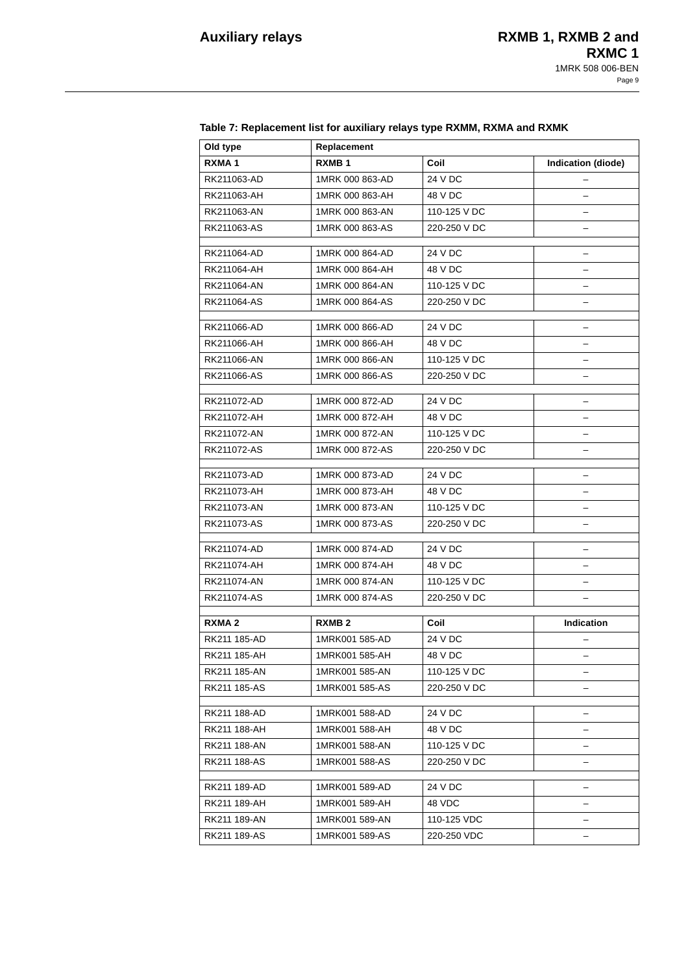| Old type          | Replacement       |              |                    |
|-------------------|-------------------|--------------|--------------------|
| RXMA <sub>1</sub> | RXMB <sub>1</sub> | Coil         | Indication (diode) |
| RK211063-AD       | 1MRK 000 863-AD   | 24 V DC      |                    |
| RK211063-AH       | 1MRK 000 863-AH   | 48 V DC      |                    |
| RK211063-AN       | 1MRK 000 863-AN   | 110-125 V DC |                    |
| RK211063-AS       | 1MRK 000 863-AS   | 220-250 V DC |                    |
|                   |                   |              |                    |
| RK211064-AD       | 1MRK 000 864-AD   | 24 V DC      |                    |
| RK211064-AH       | 1MRK 000 864-AH   | 48 V DC      | $\equiv$           |
| RK211064-AN       | 1MRK 000 864-AN   | 110-125 V DC |                    |
| RK211064-AS       | 1MRK 000 864-AS   | 220-250 V DC |                    |
| RK211066-AD       | 1MRK 000 866-AD   | 24 V DC      |                    |
| RK211066-AH       | 1MRK 000 866-AH   | 48 V DC      |                    |
| RK211066-AN       | 1MRK 000 866-AN   | 110-125 V DC |                    |
| RK211066-AS       | 1MRK 000 866-AS   | 220-250 V DC |                    |
|                   |                   |              |                    |
| RK211072-AD       | 1MRK 000 872-AD   | 24 V DC      | ╾                  |
| RK211072-AH       | 1MRK 000 872-AH   | 48 V DC      |                    |
| RK211072-AN       | 1MRK 000 872-AN   | 110-125 V DC |                    |
| RK211072-AS       | 1MRK 000 872-AS   | 220-250 V DC |                    |
| RK211073-AD       | 1MRK 000 873-AD   | 24 V DC      |                    |
| RK211073-AH       | 1MRK 000 873-AH   | 48 V DC      | ÷                  |
| RK211073-AN       | 1MRK 000 873-AN   | 110-125 V DC |                    |
| RK211073-AS       | 1MRK 000 873-AS   | 220-250 V DC |                    |
| RK211074-AD       | 1MRK 000 874-AD   | 24 V DC      |                    |
| RK211074-AH       | 1MRK 000 874-AH   | 48 V DC      |                    |
| RK211074-AN       | 1MRK 000 874-AN   | 110-125 V DC | ╾                  |
| RK211074-AS       | 1MRK 000 874-AS   | 220-250 V DC |                    |
|                   |                   |              |                    |
| RXMA <sub>2</sub> | RXMB <sub>2</sub> | Coil         | <b>Indication</b>  |
| RK211 185-AD      | 1MRK001 585-AD    | 24 V DC      |                    |
| RK211 185-AH      | 1MRK001 585-AH    | 48 V DC      |                    |
| RK211 185-AN      | 1MRK001 585-AN    | 110-125 V DC |                    |
| RK211 185-AS      | 1MRK001 585-AS    | 220-250 V DC |                    |
| RK211 188-AD      | 1MRK001 588-AD    | 24 V DC      |                    |
| RK211 188-AH      | 1MRK001 588-AH    | 48 V DC      |                    |
| RK211 188-AN      | 1MRK001 588-AN    | 110-125 V DC |                    |
| RK211 188-AS      | 1MRK001 588-AS    | 220-250 V DC |                    |
| RK211 189-AD      | 1MRK001 589-AD    | 24 V DC      |                    |
| RK211 189-AH      | 1MRK001 589-AH    | 48 VDC       | ÷                  |
| RK211 189-AN      | 1MRK001 589-AN    | 110-125 VDC  |                    |
| RK211 189-AS      | 1MRK001 589-AS    | 220-250 VDC  |                    |

# **Table 7: Replacement list for auxiliary relays type RXMM, RXMA and RXMK**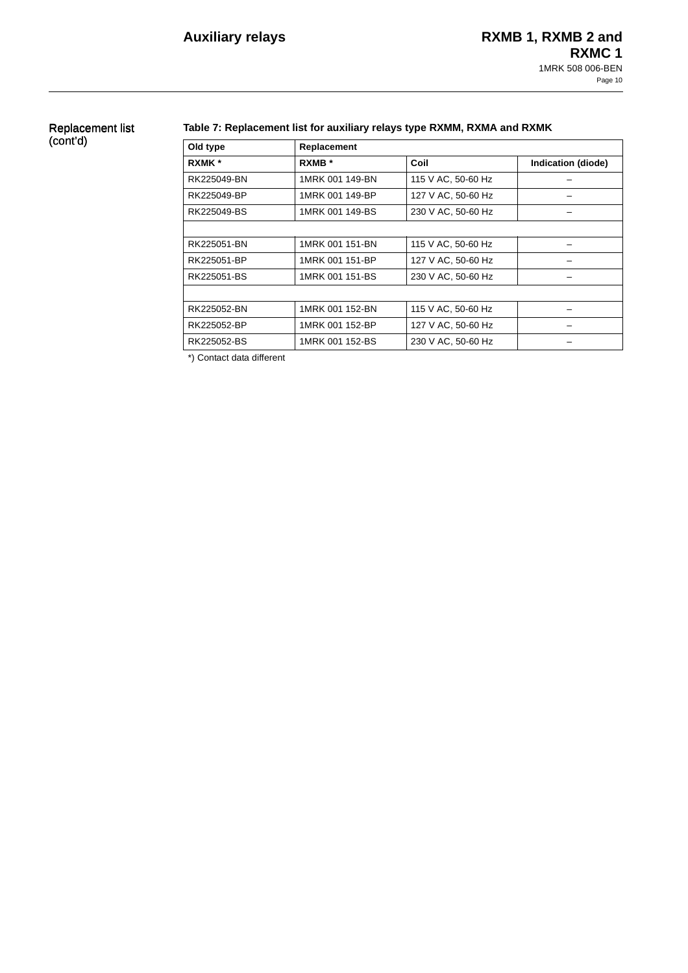# Replacement list (cont'd)

## **Table 7: Replacement list for auxiliary relays type RXMM, RXMA and RXMK**

| Old type    | Replacement     |                    |                    |  |  |  |
|-------------|-----------------|--------------------|--------------------|--|--|--|
| RXMK *      | RXMB *          | Coil               | Indication (diode) |  |  |  |
| RK225049-BN | 1MRK 001 149-BN | 115 V AC, 50-60 Hz |                    |  |  |  |
| RK225049-BP | 1MRK 001 149-BP | 127 V AC, 50-60 Hz |                    |  |  |  |
| RK225049-BS | 1MRK 001 149-BS | 230 V AC, 50-60 Hz |                    |  |  |  |
|             |                 |                    |                    |  |  |  |
| RK225051-BN | 1MRK 001 151-BN | 115 V AC, 50-60 Hz |                    |  |  |  |
| RK225051-BP | 1MRK 001 151-BP | 127 V AC, 50-60 Hz |                    |  |  |  |
| RK225051-BS | 1MRK 001 151-BS | 230 V AC, 50-60 Hz |                    |  |  |  |
|             |                 |                    |                    |  |  |  |
| RK225052-BN | 1MRK 001 152-BN | 115 V AC, 50-60 Hz |                    |  |  |  |
| RK225052-BP | 1MRK 001 152-BP | 127 V AC, 50-60 Hz |                    |  |  |  |
| RK225052-BS | 1MRK 001 152-BS | 230 V AC, 50-60 Hz |                    |  |  |  |

\*) Contact data different